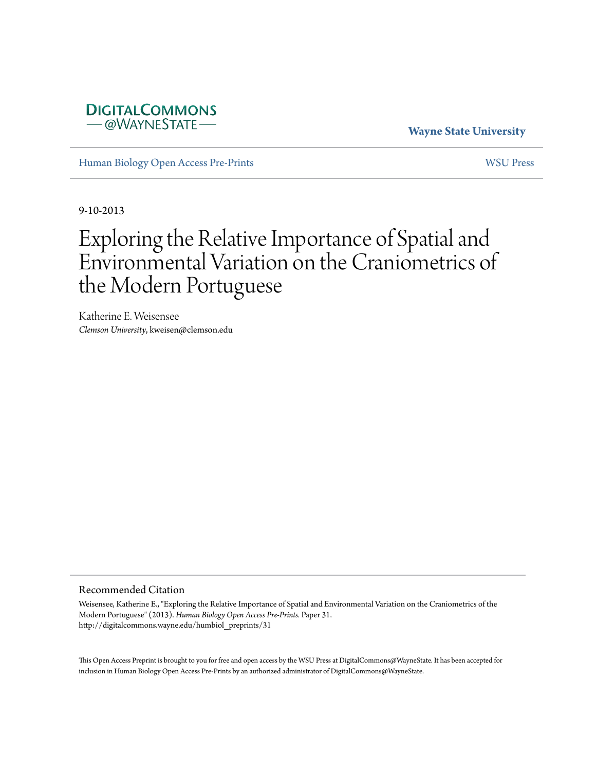# **DIGITALCOMMONS** -@WAYNESTATE

# **Wayne State University**

[Human Biology Open Access Pre-Prints](http://digitalcommons.wayne.edu/humbiol_preprints) [WSU Press](http://digitalcommons.wayne.edu/wsupress)

9-10-2013

# Exploring the Relative Importance of Spatial and Environmental Variation on the Craniometrics of the Modern Portuguese

Katherine E. Weisensee *Clemson University*, kweisen@clemson.edu

#### Recommended Citation

Weisensee, Katherine E., "Exploring the Relative Importance of Spatial and Environmental Variation on the Craniometrics of the Modern Portuguese" (2013). *Human Biology Open Access Pre-Prints.* Paper 31. http://digitalcommons.wayne.edu/humbiol\_preprints/31

This Open Access Preprint is brought to you for free and open access by the WSU Press at DigitalCommons@WayneState. It has been accepted for inclusion in Human Biology Open Access Pre-Prints by an authorized administrator of DigitalCommons@WayneState.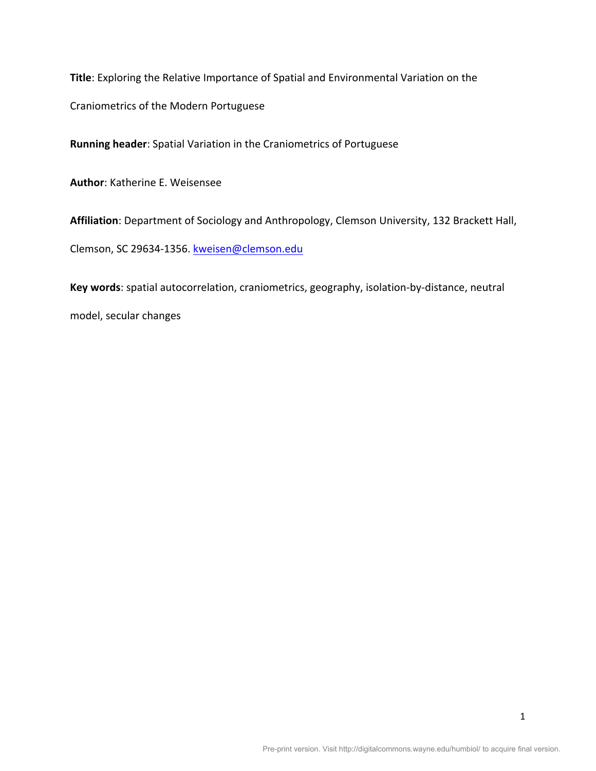Title: Exploring the Relative Importance of Spatial and Environmental Variation on the

Craniometrics of the Modern Portuguese

Running header: Spatial Variation in the Craniometrics of Portuguese

**Author: Katherine E. Weisensee** 

Affiliation: Department of Sociology and Anthropology, Clemson University, 132 Brackett Hall,

Clemson, SC 29634-1356. kweisen@clemson.edu

Key words: spatial autocorrelation, craniometrics, geography, isolation-by-distance, neutral

model, secular changes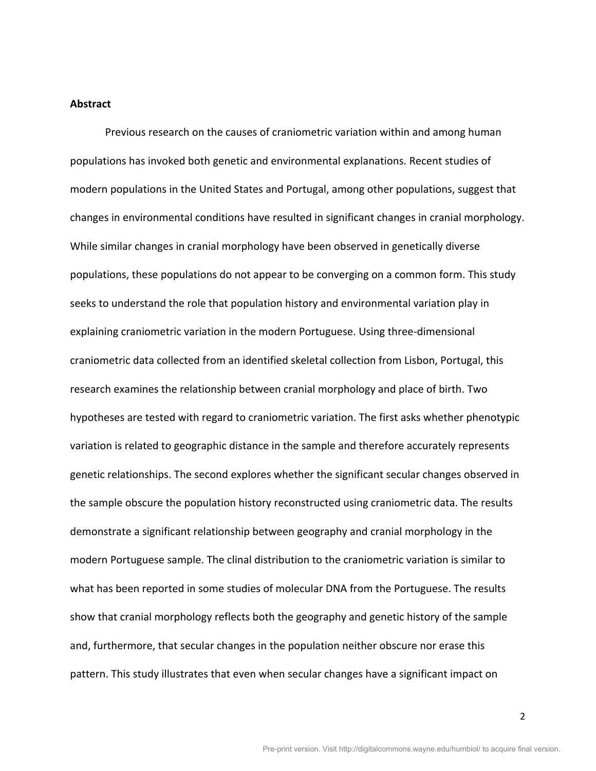## **Abstract\***

Previous research on the causes of craniometric variation within and among human populations has invoked both genetic and environmental explanations. Recent studies of modern populations in the United States and Portugal, among other populations, suggest that changes in environmental conditions have resulted in significant changes in cranial morphology. While similar changes in cranial morphology have been observed in genetically diverse populations, these populations do not appear to be converging on a common form. This study seeks to understand the role that population history and environmental variation play in explaining craniometric variation in the modern Portuguese. Using three-dimensional craniometric data collected from an identified skeletal collection from Lisbon, Portugal, this research examines the relationship between cranial morphology and place of birth. Two hypotheses are tested with regard to craniometric variation. The first asks whether phenotypic variation is related to geographic distance in the sample and therefore accurately represents genetic relationships. The second explores whether the significant secular changes observed in the sample obscure the population history reconstructed using craniometric data. The results demonstrate a significant relationship between geography and cranial morphology in the modern Portuguese sample. The clinal distribution to the craniometric variation is similar to what has been reported in some studies of molecular DNA from the Portuguese. The results show that cranial morphology reflects both the geography and genetic history of the sample and, furthermore, that secular changes in the population neither obscure nor erase this pattern. This study illustrates that even when secular changes have a significant impact on

2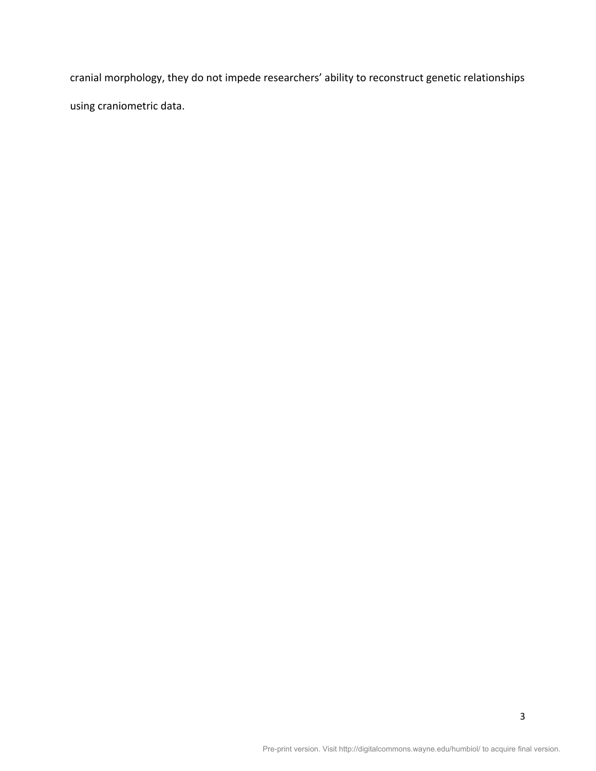cranial morphology, they do not impede researchers' ability to reconstruct genetic relationships using craniometric data.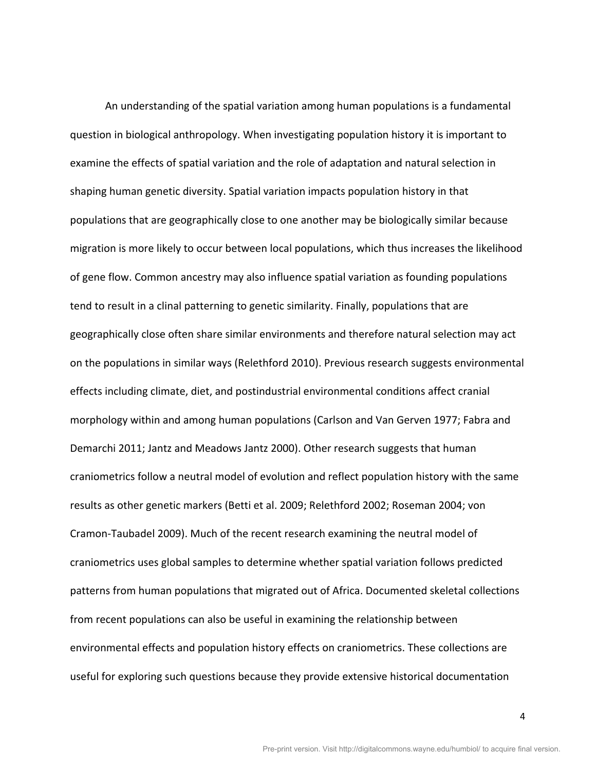An understanding of the spatial variation among human populations is a fundamental question in biological anthropology. When investigating population history it is important to examine the effects of spatial variation and the role of adaptation and natural selection in shaping human genetic diversity. Spatial variation impacts population history in that populations that are geographically close to one another may be biologically similar because migration is more likely to occur between local populations, which thus increases the likelihood of gene flow. Common ancestry may also influence spatial variation as founding populations tend to result in a clinal patterning to genetic similarity. Finally, populations that are geographically close often share similar environments and therefore natural selection may act on the populations in similar ways (Relethford 2010). Previous research suggests environmental effects including climate, diet, and postindustrial environmental conditions affect cranial morphology within and among human populations (Carlson and Van Gerven 1977; Fabra and Demarchi 2011; Jantz and Meadows Jantz 2000). Other research suggests that human craniometrics follow a neutral model of evolution and reflect population history with the same results as other genetic markers (Betti et al. 2009; Relethford 2002; Roseman 2004; von Cramon-Taubadel 2009). Much of the recent research examining the neutral model of craniometrics uses global samples to determine whether spatial variation follows predicted patterns from human populations that migrated out of Africa. Documented skeletal collections from recent populations can also be useful in examining the relationship between environmental effects and population history effects on craniometrics. These collections are useful for exploring such questions because they provide extensive historical documentation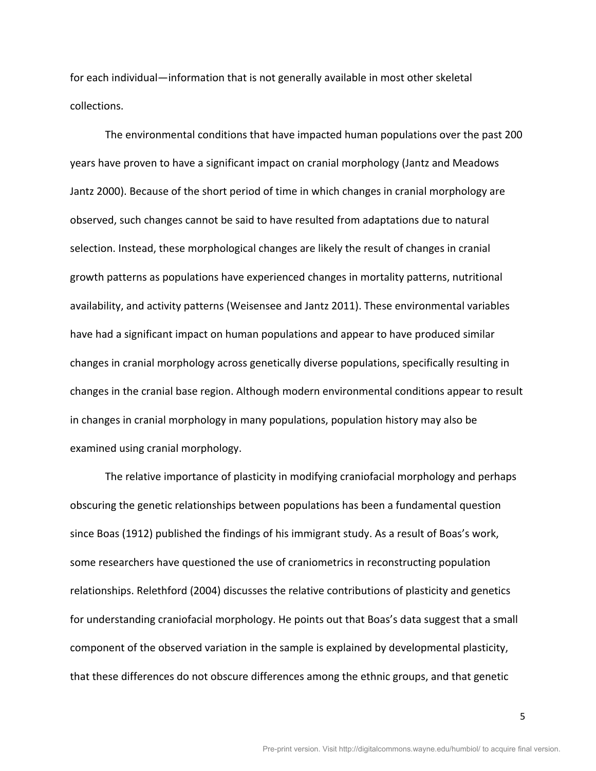for each individual—information that is not generally available in most other skeletal collections.

The environmental conditions that have impacted human populations over the past 200 years have proven to have a significant impact on cranial morphology (Jantz and Meadows Jantz 2000). Because of the short period of time in which changes in cranial morphology are observed, such changes cannot be said to have resulted from adaptations due to natural selection. Instead, these morphological changes are likely the result of changes in cranial growth patterns as populations have experienced changes in mortality patterns, nutritional availability, and activity patterns (Weisensee and Jantz 2011). These environmental variables have had a significant impact on human populations and appear to have produced similar changes in cranial morphology across genetically diverse populations, specifically resulting in changes in the cranial base region. Although modern environmental conditions appear to result in changes in cranial morphology in many populations, population history may also be examined using cranial morphology.

The relative importance of plasticity in modifying craniofacial morphology and perhaps obscuring the genetic relationships between populations has been a fundamental question since Boas (1912) published the findings of his immigrant study. As a result of Boas's work, some researchers have questioned the use of craniometrics in reconstructing population relationships. Relethford (2004) discusses the relative contributions of plasticity and genetics for understanding craniofacial morphology. He points out that Boas's data suggest that a small component of the observed variation in the sample is explained by developmental plasticity, that these differences do not obscure differences among the ethnic groups, and that genetic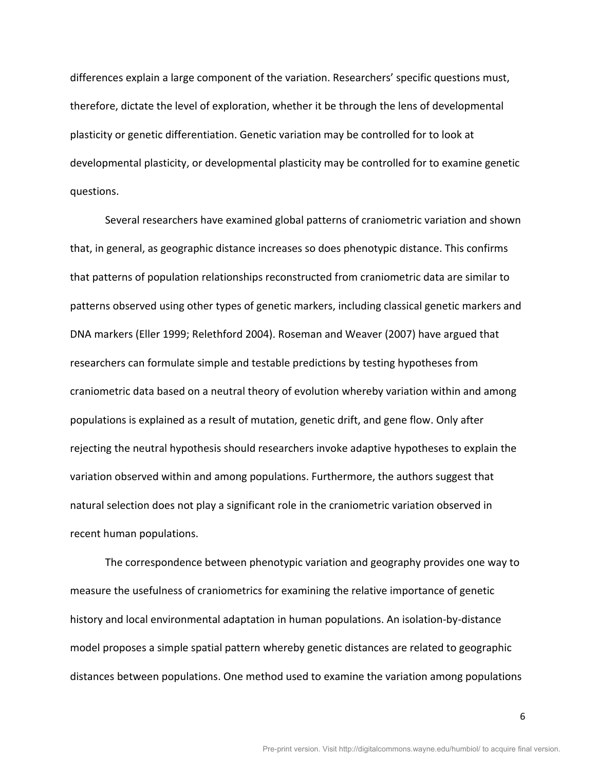differences explain a large component of the variation. Researchers' specific questions must, therefore, dictate the level of exploration, whether it be through the lens of developmental plasticity or genetic differentiation. Genetic variation may be controlled for to look at developmental plasticity, or developmental plasticity may be controlled for to examine genetic questions.

Several researchers have examined global patterns of craniometric variation and shown that, in general, as geographic distance increases so does phenotypic distance. This confirms that patterns of population relationships reconstructed from craniometric data are similar to patterns observed using other types of genetic markers, including classical genetic markers and DNA markers (Eller 1999; Relethford 2004). Roseman and Weaver (2007) have argued that researchers can formulate simple and testable predictions by testing hypotheses from craniometric data based on a neutral theory of evolution whereby variation within and among populations is explained as a result of mutation, genetic drift, and gene flow. Only after rejecting the neutral hypothesis should researchers invoke adaptive hypotheses to explain the variation observed within and among populations. Furthermore, the authors suggest that natural selection does not play a significant role in the craniometric variation observed in recent human populations.

The correspondence between phenotypic variation and geography provides one way to measure the usefulness of craniometrics for examining the relative importance of genetic history and local environmental adaptation in human populations. An isolation-by-distance model proposes a simple spatial pattern whereby genetic distances are related to geographic distances between populations. One method used to examine the variation among populations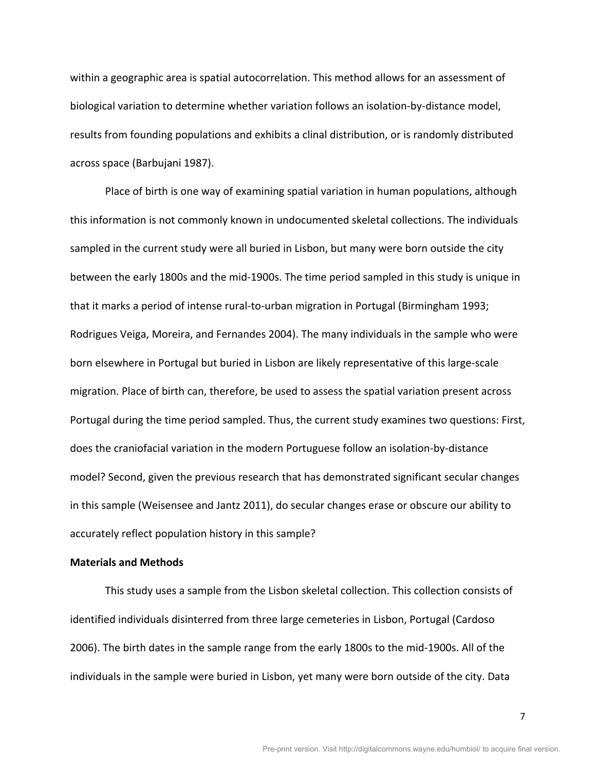within a geographic area is spatial autocorrelation. This method allows for an assessment of biological variation to determine whether variation follows an isolation-by-distance model, results from founding populations and exhibits a clinal distribution, or is randomly distributed across space (Barbujani 1987).

Place of birth is one way of examining spatial variation in human populations, although this information is not commonly known in undocumented skeletal collections. The individuals sampled in the current study were all buried in Lisbon, but many were born outside the city between the early 1800s and the mid-1900s. The time period sampled in this study is unique in that it marks a period of intense rural-to-urban migration in Portugal (Birmingham 1993; Rodrigues Veiga, Moreira, and Fernandes 2004). The many individuals in the sample who were born elsewhere in Portugal but buried in Lisbon are likely representative of this large-scale migration. Place of birth can, therefore, be used to assess the spatial variation present across Portugal during the time period sampled. Thus, the current study examines two questions: First, does the craniofacial variation in the modern Portuguese follow an isolation-by-distance model? Second, given the previous research that has demonstrated significant secular changes in this sample (Weisensee and Jantz 2011), do secular changes erase or obscure our ability to accurately reflect population history in this sample?

# **Materials and Methods**

This study uses a sample from the Lisbon skeletal collection. This collection consists of identified individuals disinterred from three large cemeteries in Lisbon, Portugal (Cardoso 2006). The birth dates in the sample range from the early 1800s to the mid-1900s. All of the individuals in the sample were buried in Lisbon, yet many were born outside of the city. Data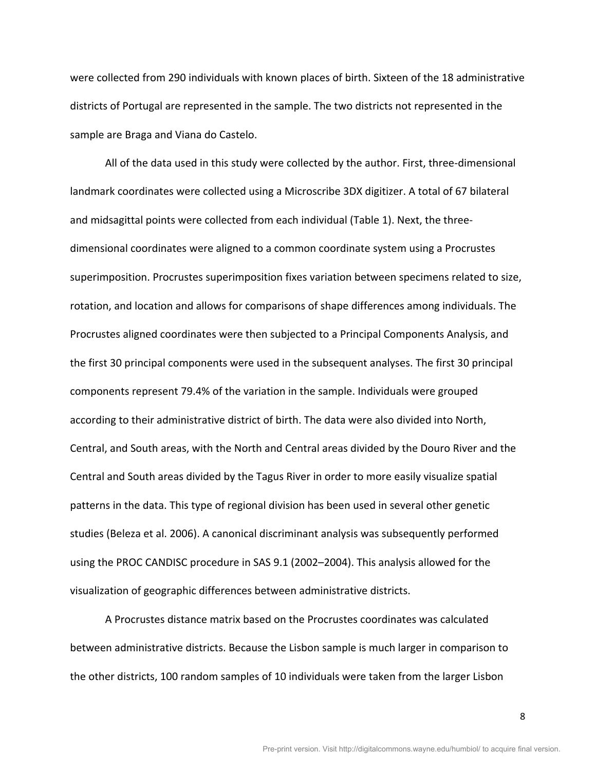were collected from 290 individuals with known places of birth. Sixteen of the 18 administrative districts of Portugal are represented in the sample. The two districts not represented in the sample are Braga and Viana do Castelo.

All of the data used in this study were collected by the author. First, three-dimensional landmark coordinates were collected using a Microscribe 3DX digitizer. A total of 67 bilateral and midsagittal points were collected from each individual (Table 1). Next, the threedimensional coordinates were aligned to a common coordinate system using a Procrustes superimposition. Procrustes superimposition fixes variation between specimens related to size, rotation, and location and allows for comparisons of shape differences among individuals. The Procrustes aligned coordinates were then subjected to a Principal Components Analysis, and the first 30 principal components were used in the subsequent analyses. The first 30 principal components represent 79.4% of the variation in the sample. Individuals were grouped according to their administrative district of birth. The data were also divided into North, Central, and South areas, with the North and Central areas divided by the Douro River and the Central and South areas divided by the Tagus River in order to more easily visualize spatial patterns in the data. This type of regional division has been used in several other genetic studies (Beleza et al. 2006). A canonical discriminant analysis was subsequently performed using the PROC CANDISC procedure in SAS 9.1 (2002–2004). This analysis allowed for the visualization of geographic differences between administrative districts.

A Procrustes distance matrix based on the Procrustes coordinates was calculated between administrative districts. Because the Lisbon sample is much larger in comparison to the other districts, 100 random samples of 10 individuals were taken from the larger Lisbon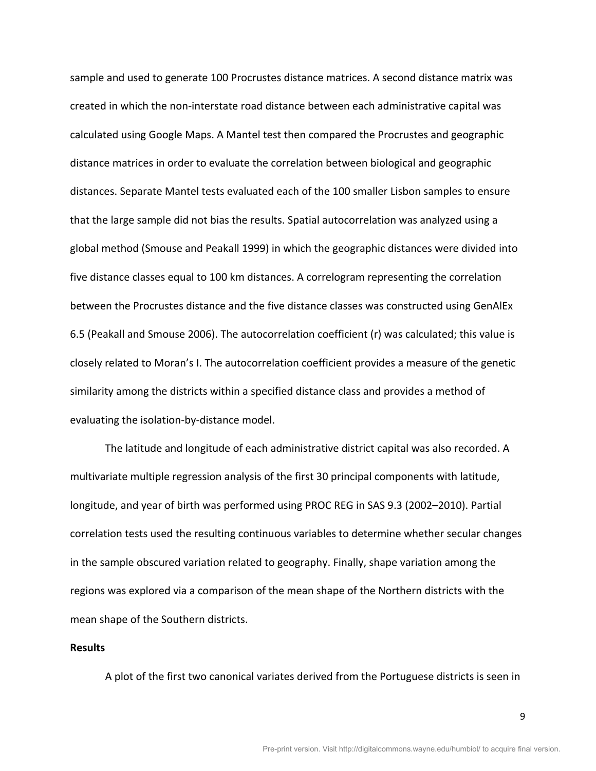sample and used to generate 100 Procrustes distance matrices. A second distance matrix was created in which the non-interstate road distance between each administrative capital was calculated using Google Maps. A Mantel test then compared the Procrustes and geographic distance matrices in order to evaluate the correlation between biological and geographic distances. Separate Mantel tests evaluated each of the 100 smaller Lisbon samples to ensure that the large sample did not bias the results. Spatial autocorrelation was analyzed using a global method (Smouse and Peakall 1999) in which the geographic distances were divided into five distance classes equal to 100 km distances. A correlogram representing the correlation between the Procrustes distance and the five distance classes was constructed using GenAlEx 6.5 (Peakall and Smouse 2006). The autocorrelation coefficient (r) was calculated; this value is closely related to Moran's I. The autocorrelation coefficient provides a measure of the genetic similarity among the districts within a specified distance class and provides a method of evaluating the isolation-by-distance model.

The latitude and longitude of each administrative district capital was also recorded. A multivariate multiple regression analysis of the first 30 principal components with latitude, longitude, and year of birth was performed using PROC REG in SAS 9.3 (2002–2010). Partial correlation tests used the resulting continuous variables to determine whether secular changes in the sample obscured variation related to geography. Finally, shape variation among the regions was explored via a comparison of the mean shape of the Northern districts with the mean shape of the Southern districts.

## **Results\***

A plot of the first two canonical variates derived from the Portuguese districts is seen in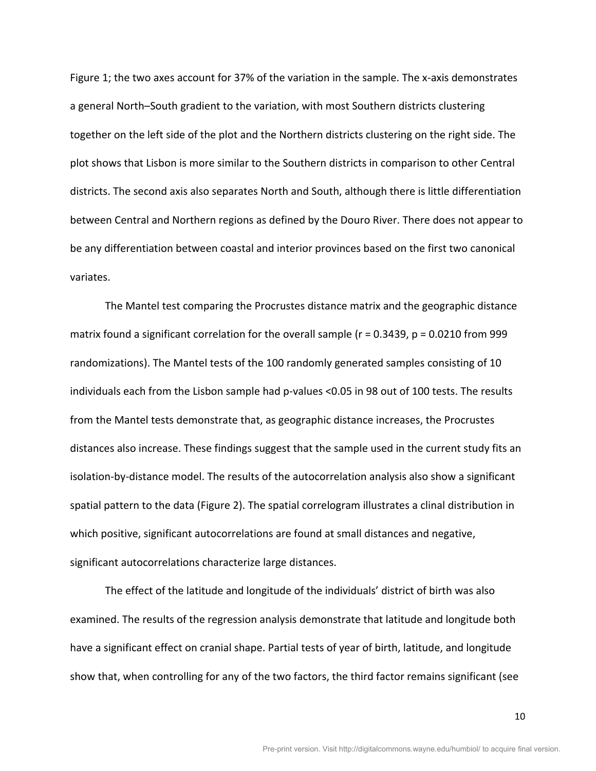Figure 1; the two axes account for 37% of the variation in the sample. The x-axis demonstrates a general North–South gradient to the variation, with most Southern districts clustering together on the left side of the plot and the Northern districts clustering on the right side. The plot shows that Lisbon is more similar to the Southern districts in comparison to other Central districts. The second axis also separates North and South, although there is little differentiation between Central and Northern regions as defined by the Douro River. There does not appear to be any differentiation between coastal and interior provinces based on the first two canonical variates.

The Mantel test comparing the Procrustes distance matrix and the geographic distance matrix found a significant correlation for the overall sample ( $r = 0.3439$ ,  $p = 0.0210$  from 999 randomizations). The Mantel tests of the 100 randomly generated samples consisting of 10 individuals each from the Lisbon sample had p-values <0.05 in 98 out of 100 tests. The results from the Mantel tests demonstrate that, as geographic distance increases, the Procrustes distances also increase. These findings suggest that the sample used in the current study fits an isolation-by-distance model. The results of the autocorrelation analysis also show a significant spatial pattern to the data (Figure 2). The spatial correlogram illustrates a clinal distribution in which positive, significant autocorrelations are found at small distances and negative, significant autocorrelations characterize large distances.

The effect of the latitude and longitude of the individuals' district of birth was also examined. The results of the regression analysis demonstrate that latitude and longitude both have a significant effect on cranial shape. Partial tests of year of birth, latitude, and longitude show that, when controlling for any of the two factors, the third factor remains significant (see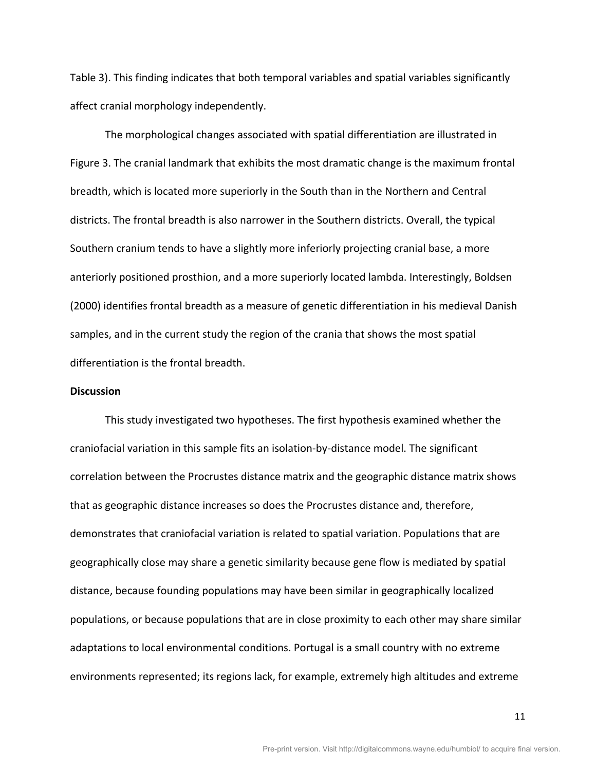Table 3). This finding indicates that both temporal variables and spatial variables significantly affect cranial morphology independently.

The morphological changes associated with spatial differentiation are illustrated in Figure 3. The cranial landmark that exhibits the most dramatic change is the maximum frontal breadth, which is located more superiorly in the South than in the Northern and Central districts. The frontal breadth is also narrower in the Southern districts. Overall, the typical Southern cranium tends to have a slightly more inferiorly projecting cranial base, a more anteriorly positioned prosthion, and a more superiorly located lambda. Interestingly, Boldsen (2000) identifies frontal breadth as a measure of genetic differentiation in his medieval Danish samples, and in the current study the region of the crania that shows the most spatial differentiation is the frontal breadth.

## **Discussion**

This study investigated two hypotheses. The first hypothesis examined whether the craniofacial variation in this sample fits an isolation-by-distance model. The significant correlation between the Procrustes distance matrix and the geographic distance matrix shows that as geographic distance increases so does the Procrustes distance and, therefore, demonstrates that craniofacial variation is related to spatial variation. Populations that are geographically close may share a genetic similarity because gene flow is mediated by spatial distance, because founding populations may have been similar in geographically localized populations, or because populations that are in close proximity to each other may share similar adaptations to local environmental conditions. Portugal is a small country with no extreme environments represented; its regions lack, for example, extremely high altitudes and extreme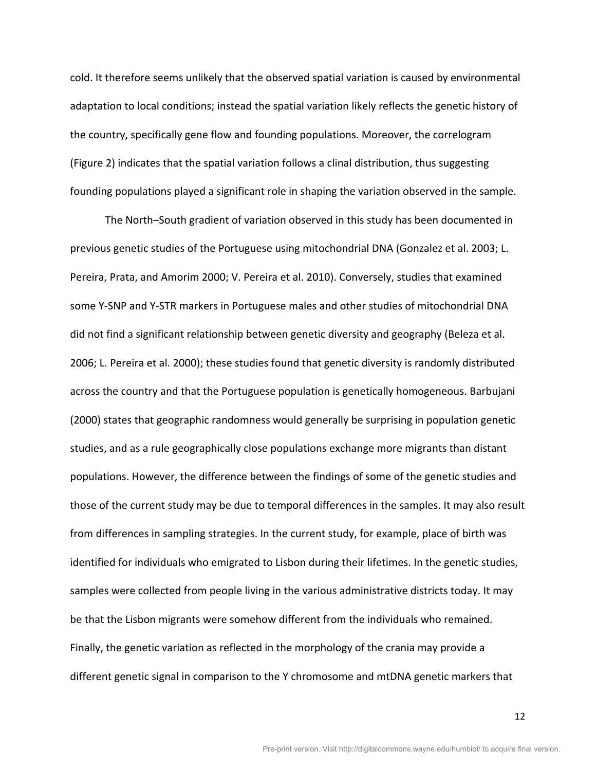cold. It therefore seems unlikely that the observed spatial variation is caused by environmental adaptation to local conditions; instead the spatial variation likely reflects the genetic history of the country, specifically gene flow and founding populations. Moreover, the correlogram (Figure 2) indicates that the spatial variation follows a clinal distribution, thus suggesting founding populations played a significant role in shaping the variation observed in the sample.

The North–South gradient of variation observed in this study has been documented in previous genetic studies of the Portuguese using mitochondrial DNA (Gonzalez et al. 2003; L. Pereira, Prata, and Amorim 2000; V. Pereira et al. 2010). Conversely, studies that examined some Y-SNP and Y-STR markers in Portuguese males and other studies of mitochondrial DNA did not find a significant relationship between genetic diversity and geography (Beleza et al. 2006; L. Pereira et al. 2000); these studies found that genetic diversity is randomly distributed across the country and that the Portuguese population is genetically homogeneous. Barbujani (2000) states that geographic randomness would generally be surprising in population genetic studies, and as a rule geographically close populations exchange more migrants than distant populations. However, the difference between the findings of some of the genetic studies and those of the current study may be due to temporal differences in the samples. It may also result from differences in sampling strategies. In the current study, for example, place of birth was identified for individuals who emigrated to Lisbon during their lifetimes. In the genetic studies, samples were collected from people living in the various administrative districts today. It may be that the Lisbon migrants were somehow different from the individuals who remained. Finally, the genetic variation as reflected in the morphology of the crania may provide a different genetic signal in comparison to the Y chromosome and mtDNA genetic markers that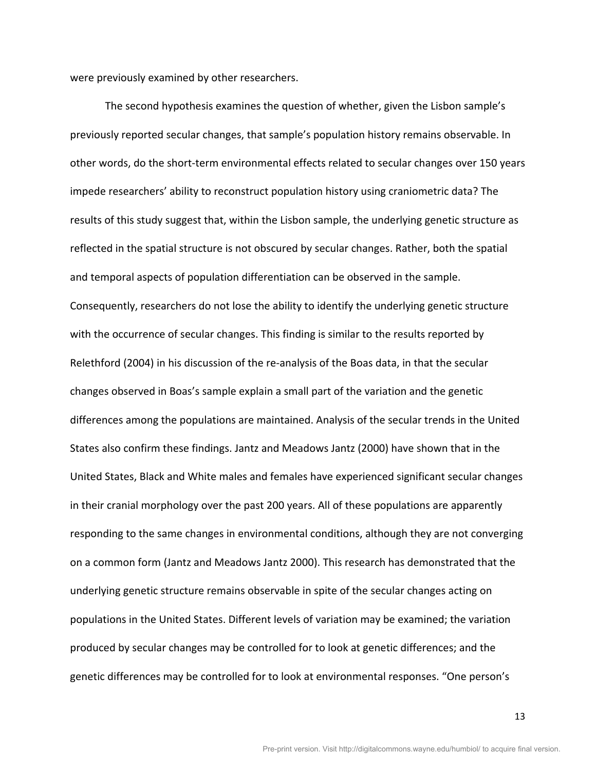were previously examined by other researchers.

The second hypothesis examines the question of whether, given the Lisbon sample's previously reported secular changes, that sample's population history remains observable. In other words, do the short-term environmental effects related to secular changes over 150 years impede researchers' ability to reconstruct population history using craniometric data? The results of this study suggest that, within the Lisbon sample, the underlying genetic structure as reflected in the spatial structure is not obscured by secular changes. Rather, both the spatial and temporal aspects of population differentiation can be observed in the sample. Consequently, researchers do not lose the ability to identify the underlying genetic structure with the occurrence of secular changes. This finding is similar to the results reported by Relethford (2004) in his discussion of the re-analysis of the Boas data, in that the secular changes observed in Boas's sample explain a small part of the variation and the genetic differences among the populations are maintained. Analysis of the secular trends in the United States also confirm these findings. Jantz and Meadows Jantz (2000) have shown that in the United States, Black and White males and females have experienced significant secular changes in their cranial morphology over the past 200 years. All of these populations are apparently responding to the same changes in environmental conditions, although they are not converging on a common form (Jantz and Meadows Jantz 2000). This research has demonstrated that the underlying genetic structure remains observable in spite of the secular changes acting on populations in the United States. Different levels of variation may be examined; the variation produced by secular changes may be controlled for to look at genetic differences; and the genetic differences may be controlled for to look at environmental responses. "One person's

13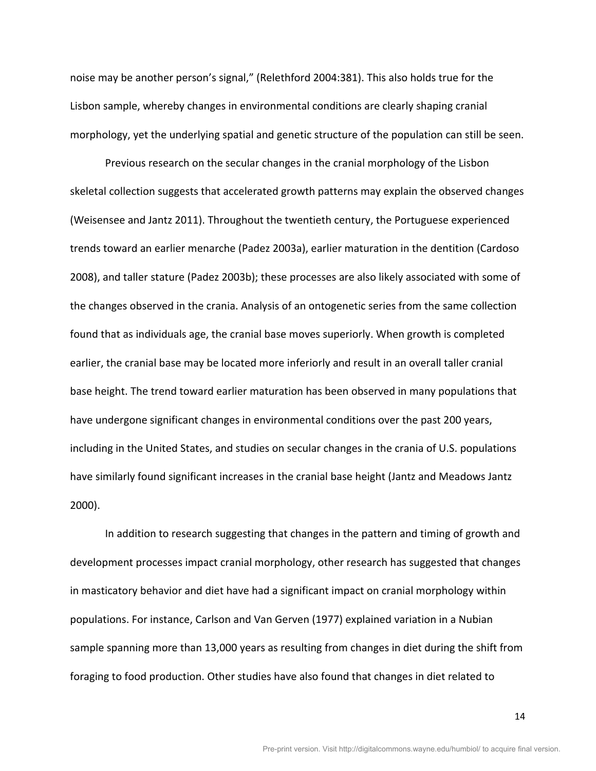noise may be another person's signal," (Relethford 2004:381). This also holds true for the Lisbon sample, whereby changes in environmental conditions are clearly shaping cranial morphology, yet the underlying spatial and genetic structure of the population can still be seen.

Previous research on the secular changes in the cranial morphology of the Lisbon skeletal collection suggests that accelerated growth patterns may explain the observed changes (Weisensee and Jantz 2011). Throughout the twentieth century, the Portuguese experienced trends toward an earlier menarche (Padez 2003a), earlier maturation in the dentition (Cardoso 2008), and taller stature (Padez 2003b); these processes are also likely associated with some of the changes observed in the crania. Analysis of an ontogenetic series from the same collection found that as individuals age, the cranial base moves superiorly. When growth is completed earlier, the cranial base may be located more inferiorly and result in an overall taller cranial base height. The trend toward earlier maturation has been observed in many populations that have undergone significant changes in environmental conditions over the past 200 years, including in the United States, and studies on secular changes in the crania of U.S. populations have similarly found significant increases in the cranial base height (Jantz and Meadows Jantz  $2000$ ).

In addition to research suggesting that changes in the pattern and timing of growth and development processes impact cranial morphology, other research has suggested that changes in masticatory behavior and diet have had a significant impact on cranial morphology within populations. For instance, Carlson and Van Gerven (1977) explained variation in a Nubian sample spanning more than 13,000 years as resulting from changes in diet during the shift from foraging to food production. Other studies have also found that changes in diet related to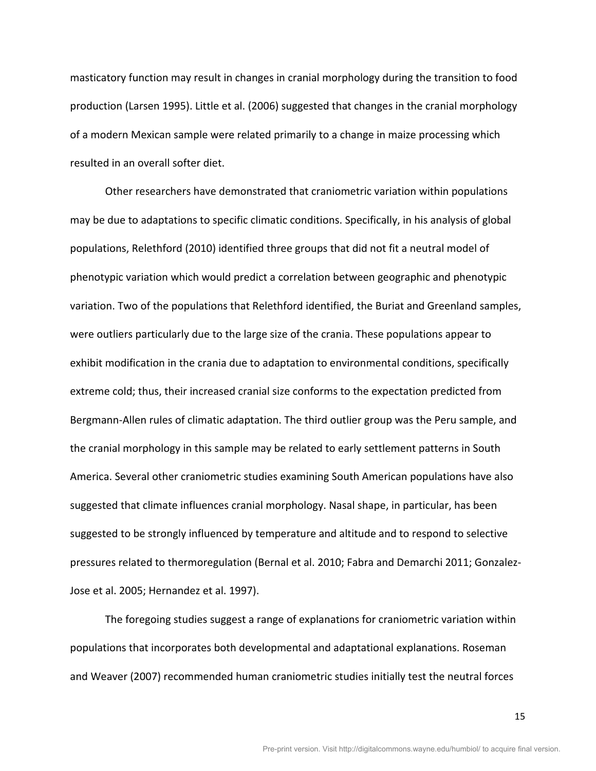masticatory function may result in changes in cranial morphology during the transition to food production (Larsen 1995). Little et al. (2006) suggested that changes in the cranial morphology of a modern Mexican sample were related primarily to a change in maize processing which resulted in an overall softer diet.

Other researchers have demonstrated that craniometric variation within populations may be due to adaptations to specific climatic conditions. Specifically, in his analysis of global populations, Relethford (2010) identified three groups that did not fit a neutral model of phenotypic variation which would predict a correlation between geographic and phenotypic variation. Two of the populations that Relethford identified, the Buriat and Greenland samples, were outliers particularly due to the large size of the crania. These populations appear to exhibit modification in the crania due to adaptation to environmental conditions, specifically extreme cold; thus, their increased cranial size conforms to the expectation predicted from Bergmann-Allen rules of climatic adaptation. The third outlier group was the Peru sample, and the cranial morphology in this sample may be related to early settlement patterns in South America. Several other craniometric studies examining South American populations have also suggested that climate influences cranial morphology. Nasal shape, in particular, has been suggested to be strongly influenced by temperature and altitude and to respond to selective pressures related to thermoregulation (Bernal et al. 2010; Fabra and Demarchi 2011; Gonzalez-Jose et al. 2005; Hernandez et al. 1997).

The foregoing studies suggest a range of explanations for craniometric variation within populations that incorporates both developmental and adaptational explanations. Roseman and Weaver (2007) recommended human craniometric studies initially test the neutral forces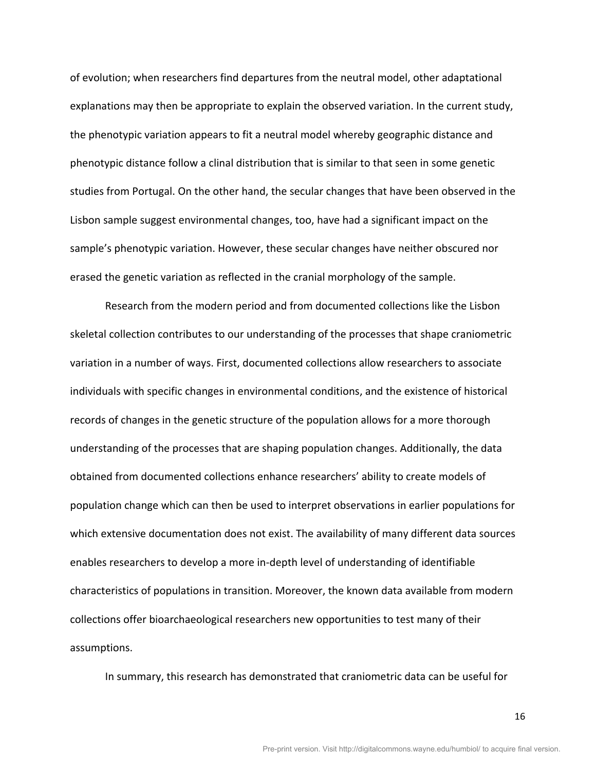of evolution; when researchers find departures from the neutral model, other adaptational explanations may then be appropriate to explain the observed variation. In the current study, the phenotypic variation appears to fit a neutral model whereby geographic distance and phenotypic distance follow a clinal distribution that is similar to that seen in some genetic studies from Portugal. On the other hand, the secular changes that have been observed in the Lisbon sample suggest environmental changes, too, have had a significant impact on the sample's phenotypic variation. However, these secular changes have neither obscured nor erased the genetic variation as reflected in the cranial morphology of the sample.

Research from the modern period and from documented collections like the Lisbon skeletal collection contributes to our understanding of the processes that shape craniometric variation in a number of ways. First, documented collections allow researchers to associate individuals with specific changes in environmental conditions, and the existence of historical records of changes in the genetic structure of the population allows for a more thorough understanding of the processes that are shaping population changes. Additionally, the data obtained from documented collections enhance researchers' ability to create models of population change which can then be used to interpret observations in earlier populations for which extensive documentation does not exist. The availability of many different data sources enables researchers to develop a more in-depth level of understanding of identifiable characteristics of populations in transition. Moreover, the known data available from modern collections offer bioarchaeological researchers new opportunities to test many of their assumptions.

In summary, this research has demonstrated that craniometric data can be useful for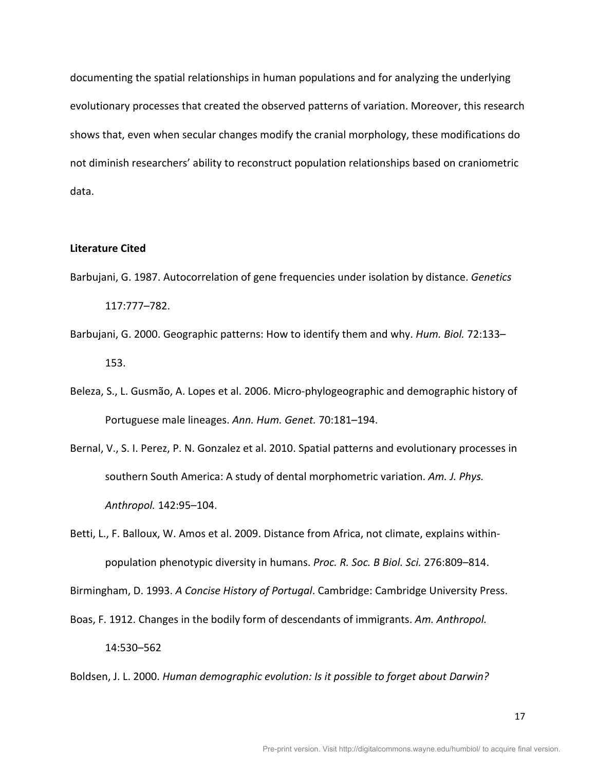documenting the spatial relationships in human populations and for analyzing the underlying evolutionary processes that created the observed patterns of variation. Moreover, this research shows that, even when secular changes modify the cranial morphology, these modifications do not diminish researchers' ability to reconstruct population relationships based on craniometric data.

### **Literature Cited**

- Barbujani, G. 1987. Autocorrelation of gene frequencies under isolation by distance. *Genetics* 117:777–782.!
- Barbujani, G. 2000. Geographic patterns: How to identify them and why. *Hum. Biol.* 72:133– 153.!
- Beleza, S., L. Gusmão, A. Lopes et al. 2006. Micro-phylogeographic and demographic history of Portuguese male lineages. Ann. Hum. Genet. 70:181-194.
- Bernal, V., S. I. Perez, P. N. Gonzalez et al. 2010. Spatial patterns and evolutionary processes in southern South America: A study of dental morphometric variation. Am. J. Phys. *Anthropol.* 142:95–104.!

Betti, L., F. Balloux, W. Amos et al. 2009. Distance from Africa, not climate, explains withinpopulation phenotypic diversity in humans. *Proc. R. Soc. B Biol. Sci.* 276:809–814.

Birmingham, D. 1993. *A Concise History of Portugal*. Cambridge: Cambridge University Press.

Boas, F. 1912. Changes in the bodily form of descendants of immigrants. Am. Anthropol.

14:530–562!

Boldsen, J. L. 2000. *Human demographic evolution: Is it possible to forget about Darwin?*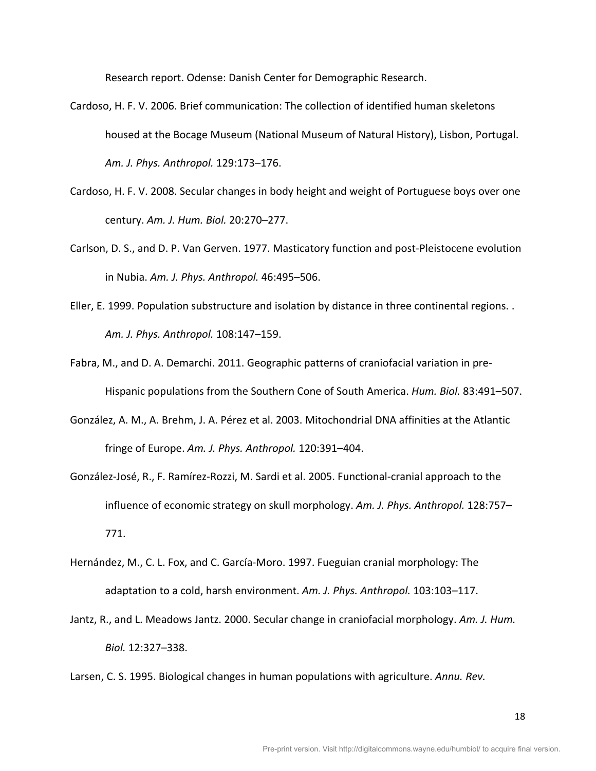Research report. Odense: Danish Center for Demographic Research.

- Cardoso, H. F. V. 2006. Brief communication: The collection of identified human skeletons housed at the Bocage Museum (National Museum of Natural History), Lisbon, Portugal. Am. J. Phys. Anthropol. 129:173-176.
- Cardoso, H. F. V. 2008. Secular changes in body height and weight of Portuguese boys over one century. Am. J. Hum. Biol. 20:270-277.
- Carlson, D. S., and D. P. Van Gerven. 1977. Masticatory function and post-Pleistocene evolution in Nubia. *Am. J. Phys. Anthropol.* 46:495–506.
- Eller, E. 1999. Population substructure and isolation by distance in three continental regions. . *Am.,J.,Phys.,Anthropol.* 108:147–159.!
- Fabra, M., and D. A. Demarchi. 2011. Geographic patterns of craniofacial variation in pre-Hispanic populations from the Southern Cone of South America. *Hum. Biol.* 83:491–507.
- González, A. M., A. Brehm, J. A. Pérez et al. 2003. Mitochondrial DNA affinities at the Atlantic fringe of Europe. Am. J. Phys. Anthropol. 120:391–404.
- González-José, R., F. Ramírez-Rozzi, M. Sardi et al. 2005. Functional-cranial approach to the influence of economic strategy on skull morphology. Am. J. Phys. Anthropol. 128:757– 771.!
- Hernández, M., C. L. Fox, and C. García-Moro. 1997. Fueguian cranial morphology: The adaptation to a cold, harsh environment. Am. J. Phys. Anthropol. 103:103–117.
- Jantz, R., and L. Meadows Jantz. 2000. Secular change in craniofacial morphology. Am. J. Hum. *Biol.* 12:327–338.!
- Larsen, C. S. 1995. Biological changes in human populations with agriculture. *Annu. Rev.*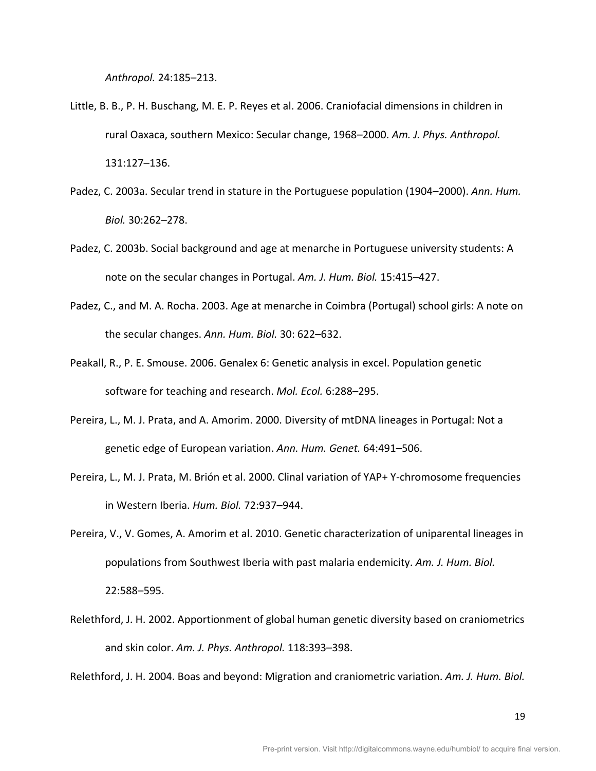*Anthropol.* 24:185–213.!

- Little, B. B., P. H. Buschang, M. E. P. Reyes et al. 2006. Craniofacial dimensions in children in rural Oaxaca, southern Mexico: Secular change, 1968–2000. Am. J. Phys. Anthropol. 131:127–136.!
- Padez, C. 2003a. Secular trend in stature in the Portuguese population (1904–2000). Ann. Hum. *Biol.* 30:262–278.!
- Padez, C. 2003b. Social background and age at menarche in Portuguese university students: A note on the secular changes in Portugal. Am. J. Hum. Biol. 15:415–427.
- Padez, C., and M. A. Rocha. 2003. Age at menarche in Coimbra (Portugal) school girls: A note on the secular changes. Ann. Hum. Biol. 30: 622–632.
- Peakall, R., P. E. Smouse. 2006. Genalex 6: Genetic analysis in excel. Population genetic software for teaching and research. *Mol. Ecol.* 6:288–295.
- Pereira, L., M. J. Prata, and A. Amorim. 2000. Diversity of mtDNA lineages in Portugal: Not a genetic edge of European variation. Ann. Hum. Genet. 64:491–506.
- Pereira, L., M. J. Prata, M. Brión et al. 2000. Clinal variation of YAP+ Y-chromosome frequencies in Western Iberia. *Hum. Biol.* 72:937–944.
- Pereira, V., V. Gomes, A. Amorim et al. 2010. Genetic characterization of uniparental lineages in populations from Southwest Iberia with past malaria endemicity. Am. J. Hum. Biol. 22:588–595.!
- Relethford, J. H. 2002. Apportionment of global human genetic diversity based on craniometrics and skin color. Am. J. Phys. Anthropol. 118:393-398.

Relethford, J. H. 2004. Boas and beyond: Migration and craniometric variation. Am. J. Hum. Biol.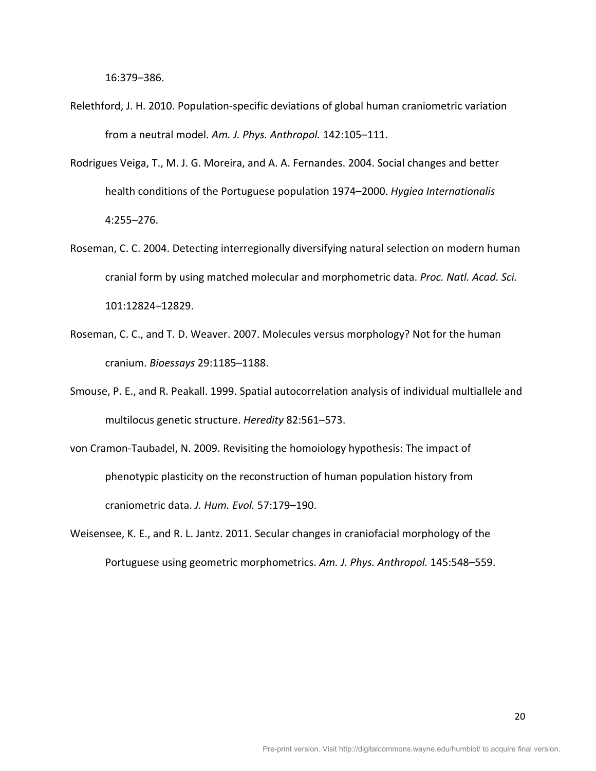16:379–386.!

- Relethford, J. H. 2010. Population-specific deviations of global human craniometric variation from a neutral model. Am. J. Phys. Anthropol. 142:105-111.
- Rodrigues Veiga, T., M. J. G. Moreira, and A. A. Fernandes. 2004. Social changes and better health conditions of the Portuguese population 1974–2000. *Hygiea Internationalis* 4:255–276.
- Roseman, C. C. 2004. Detecting interregionally diversifying natural selection on modern human cranial form by using matched molecular and morphometric data. *Proc. Natl. Acad. Sci.* 101:12824–12829.!
- Roseman, C. C., and T. D. Weaver. 2007. Molecules versus morphology? Not for the human cranium.!*Bioessays* 29:1185–1188.!
- Smouse, P. E., and R. Peakall. 1999. Spatial autocorrelation analysis of individual multiallele and multilocus genetic structure. *Heredity* 82:561–573.
- von Cramon-Taubadel, N. 2009. Revisiting the homoiology hypothesis: The impact of phenotypic plasticity on the reconstruction of human population history from craniometric!data.!*J.,Hum.,Evol.* 57:179–190.!
- Weisensee, K. E., and R. L. Jantz. 2011. Secular changes in craniofacial morphology of the Portuguese using geometric morphometrics. Am. J. Phys. Anthropol. 145:548–559.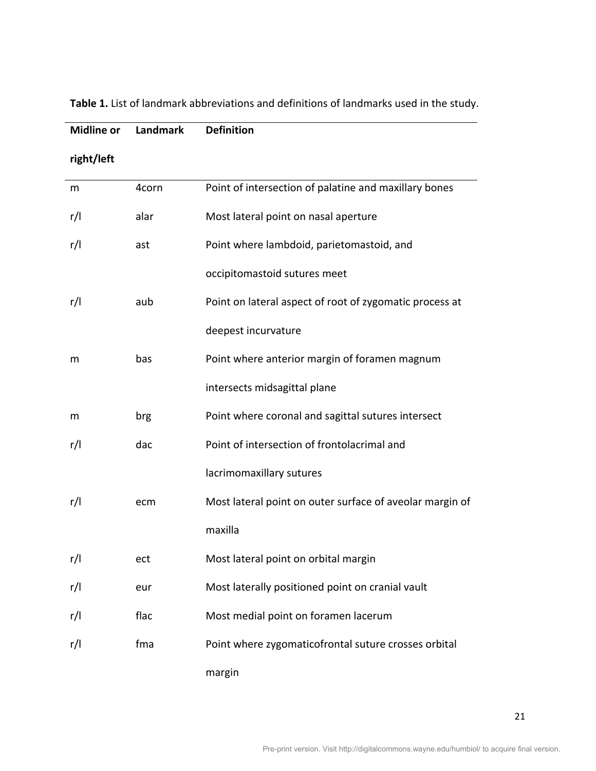| <b>Midline or</b> | Landmark | <b>Definition</b>                                        |
|-------------------|----------|----------------------------------------------------------|
| right/left        |          |                                                          |
| m                 | 4corn    | Point of intersection of palatine and maxillary bones    |
| r/I               | alar     | Most lateral point on nasal aperture                     |
| r/l               | ast      | Point where lambdoid, parietomastoid, and                |
|                   |          | occipitomastoid sutures meet                             |
| r/l               | aub      | Point on lateral aspect of root of zygomatic process at  |
|                   |          | deepest incurvature                                      |
| m                 | bas      | Point where anterior margin of foramen magnum            |
|                   |          | intersects midsagittal plane                             |
| m                 | brg      | Point where coronal and sagittal sutures intersect       |
| r/l               | dac      | Point of intersection of frontolacrimal and              |
|                   |          | lacrimomaxillary sutures                                 |
| r/l               | ecm      | Most lateral point on outer surface of aveolar margin of |
|                   |          | maxilla                                                  |
| r/I               | ect      | Most lateral point on orbital margin                     |
| r/l               | eur      | Most laterally positioned point on cranial vault         |
| r/l               | flac     | Most medial point on foramen lacerum                     |
| r/l               | fma      | Point where zygomaticofrontal suture crosses orbital     |
|                   |          | margin                                                   |

Table 1. List of landmark abbreviations and definitions of landmarks used in the study.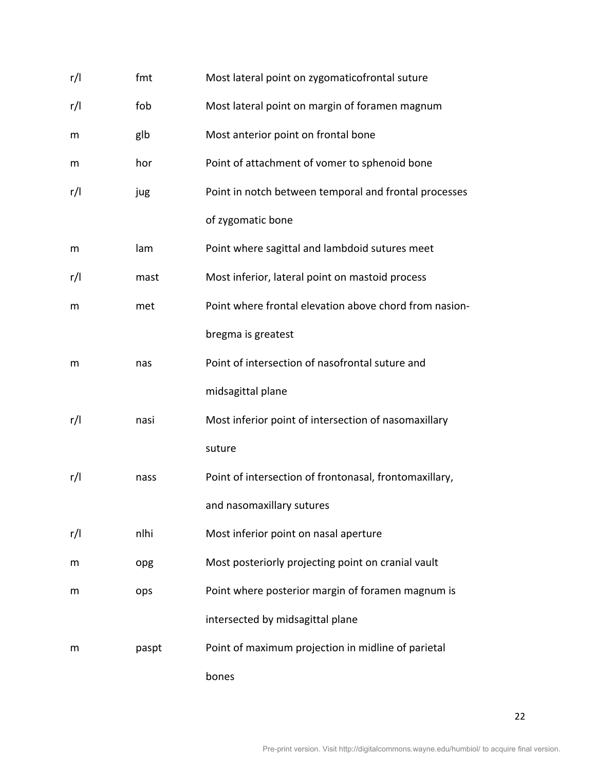| r/l | fmt   | Most lateral point on zygomaticofrontal suture         |
|-----|-------|--------------------------------------------------------|
| r/l | fob   | Most lateral point on margin of foramen magnum         |
| m   | glb   | Most anterior point on frontal bone                    |
| m   | hor   | Point of attachment of vomer to sphenoid bone          |
| r/l | jug   | Point in notch between temporal and frontal processes  |
|     |       | of zygomatic bone                                      |
| m   | lam   | Point where sagittal and lambdoid sutures meet         |
| r/l | mast  | Most inferior, lateral point on mastoid process        |
| m   | met   | Point where frontal elevation above chord from nasion- |
|     |       | bregma is greatest                                     |
| m   | nas   | Point of intersection of nasofrontal suture and        |
|     |       | midsagittal plane                                      |
| r/l | nasi  | Most inferior point of intersection of nasomaxillary   |
|     |       | suture                                                 |
| r/l | nass  | Point of intersection of frontonasal, frontomaxillary, |
|     |       | and nasomaxillary sutures                              |
| r/l | nlhi  | Most inferior point on nasal aperture                  |
| m   | opg   | Most posteriorly projecting point on cranial vault     |
| m   | ops   | Point where posterior margin of foramen magnum is      |
|     |       | intersected by midsagittal plane                       |
| m   | paspt | Point of maximum projection in midline of parietal     |
|     |       | bones                                                  |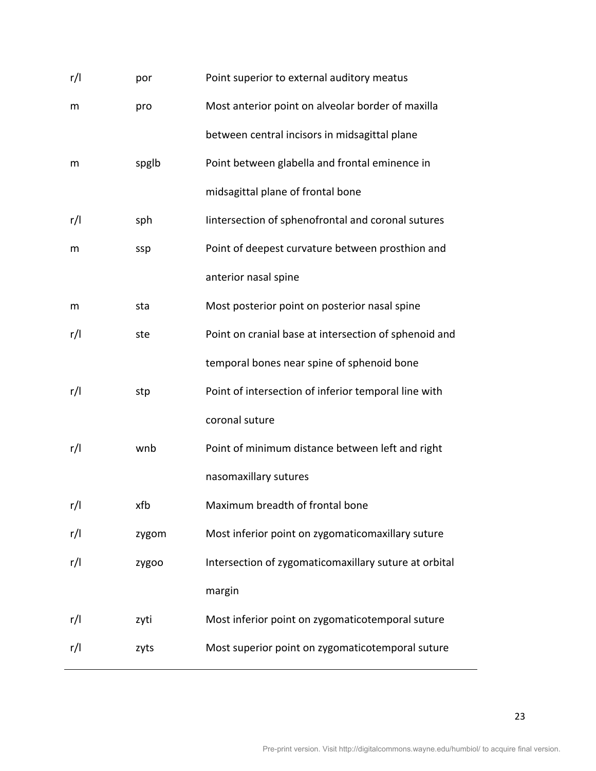| r/l | por   | Point superior to external auditory meatus            |
|-----|-------|-------------------------------------------------------|
| m   | pro   | Most anterior point on alveolar border of maxilla     |
|     |       | between central incisors in midsagittal plane         |
| m   | spglb | Point between glabella and frontal eminence in        |
|     |       | midsagittal plane of frontal bone                     |
| r/l | sph   | lintersection of sphenofrontal and coronal sutures    |
| m   | ssp   | Point of deepest curvature between prosthion and      |
|     |       | anterior nasal spine                                  |
| m   | sta   | Most posterior point on posterior nasal spine         |
| r/l | ste   | Point on cranial base at intersection of sphenoid and |
|     |       | temporal bones near spine of sphenoid bone            |
| r/l | stp   | Point of intersection of inferior temporal line with  |
|     |       | coronal suture                                        |
| r/l | wnb   | Point of minimum distance between left and right      |
|     |       | nasomaxillary sutures                                 |
| r/l | xfb   | Maximum breadth of frontal bone                       |
| r/l | zygom | Most inferior point on zygomaticomaxillary suture     |
| r/l | zygoo | Intersection of zygomaticomaxillary suture at orbital |
|     |       | margin                                                |
| r/l | zyti  | Most inferior point on zygomaticotemporal suture      |
| r/l | zyts  | Most superior point on zygomaticotemporal suture      |
|     |       |                                                       |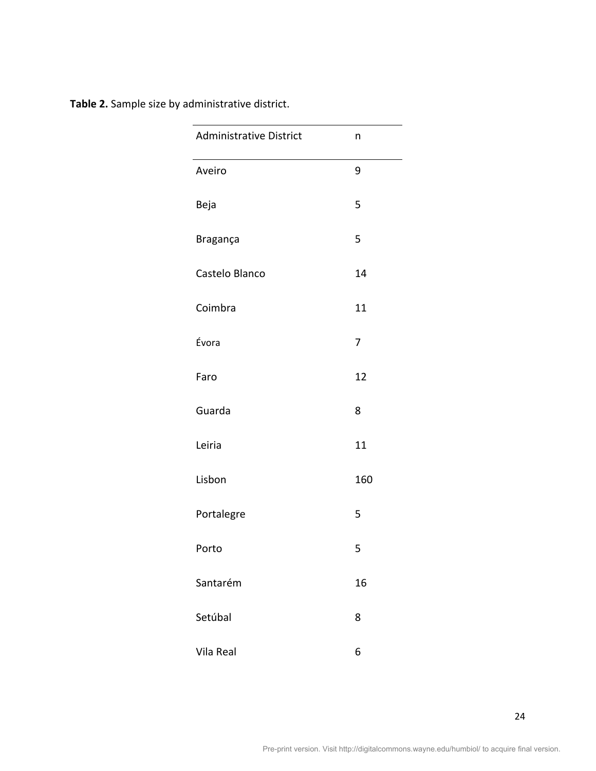|  | Table 2. Sample size by administrative district. |
|--|--------------------------------------------------|
|--|--------------------------------------------------|

| <b>Administrative District</b> | n   |
|--------------------------------|-----|
| Aveiro                         | 9   |
| Beja                           | 5   |
| Bragança                       | 5   |
| Castelo Blanco                 | 14  |
| Coimbra                        | 11  |
| Évora                          | 7   |
| Faro                           | 12  |
| Guarda                         | 8   |
| Leiria                         | 11  |
| Lisbon                         | 160 |
| Portalegre                     | 5   |
| Porto                          | 5   |
| Santarém                       | 16  |
| Setúbal                        | 8   |
| Vila Real                      | 6   |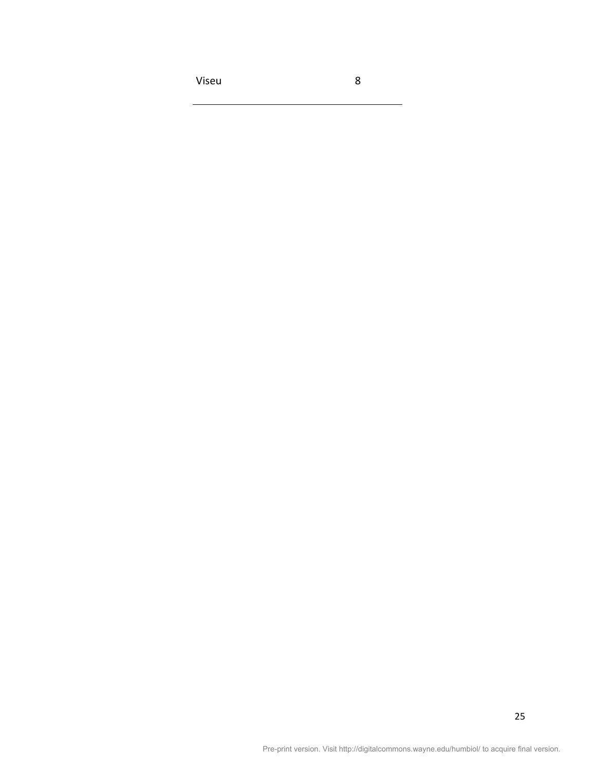Viseu 8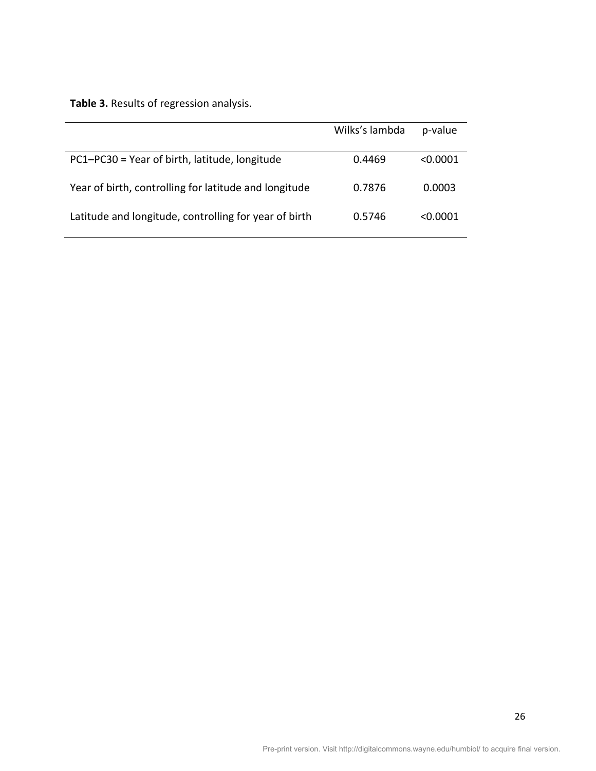Table 3. Results of regression analysis.

|                                                       | Wilks's lambda | p-value    |
|-------------------------------------------------------|----------------|------------|
| PC1-PC30 = Year of birth, latitude, longitude         | 0.4469         | < 0.0001   |
| Year of birth, controlling for latitude and longitude | 0.7876         | 0.0003     |
| Latitude and longitude, controlling for year of birth | 0.5746         | $<$ 0.0001 |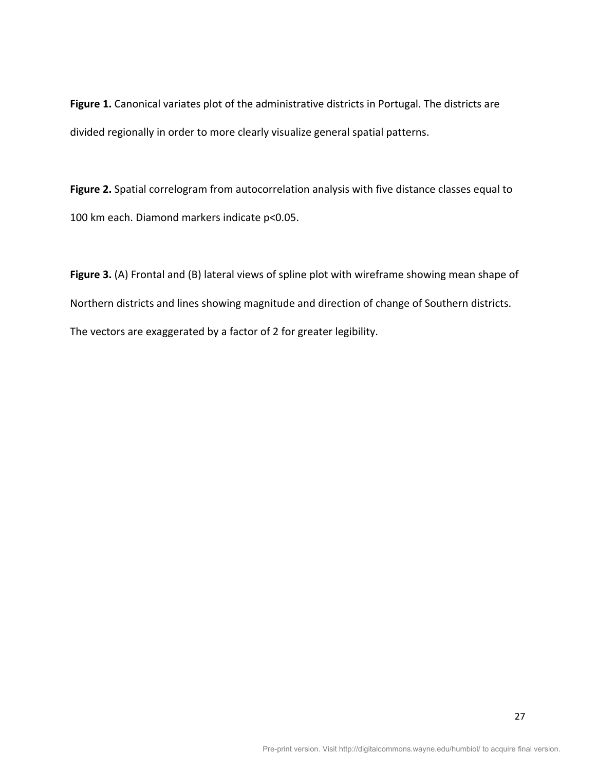Figure 1. Canonical variates plot of the administrative districts in Portugal. The districts are divided regionally in order to more clearly visualize general spatial patterns.

Figure 2. Spatial correlogram from autocorrelation analysis with five distance classes equal to 100 km each. Diamond markers indicate p<0.05.

Figure 3. (A) Frontal and (B) lateral views of spline plot with wireframe showing mean shape of Northern districts and lines showing magnitude and direction of change of Southern districts. The vectors are exaggerated by a factor of 2 for greater legibility.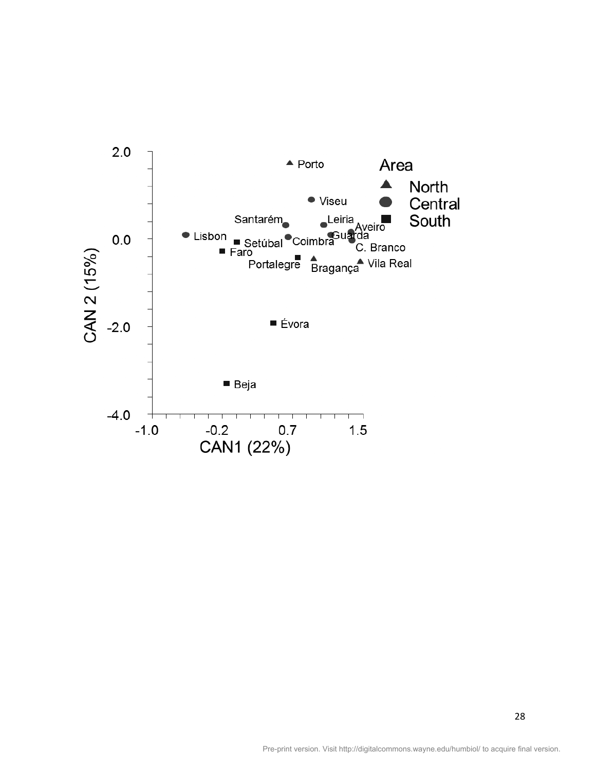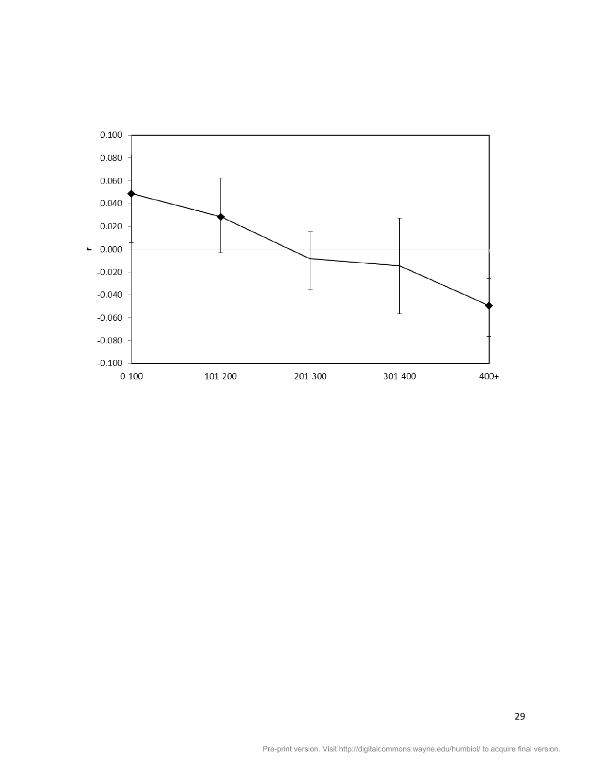